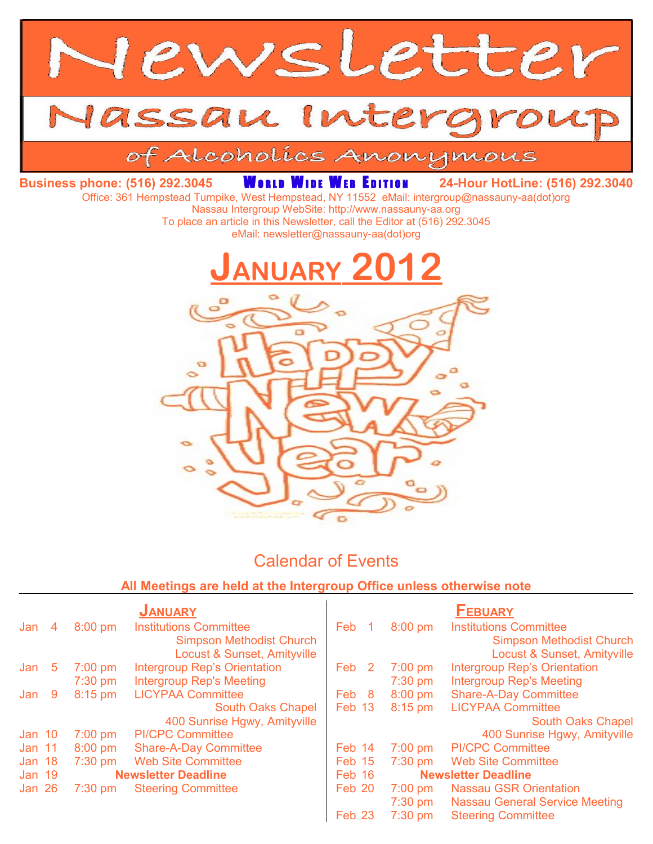

## Calendar of Events

#### **All Meetings are held at the Intergroup Office unless otherwise note**

| <b>JANUARY</b> |    |                            | <b>FEBUARY</b>                      |        |                |                            |                                       |
|----------------|----|----------------------------|-------------------------------------|--------|----------------|----------------------------|---------------------------------------|
| Jan            | 4  | $8:00$ pm                  | <b>Institutions Committee</b>       | Feb    | $\overline{1}$ | 8:00 pm                    | <b>Institutions Committee</b>         |
|                |    |                            | <b>Simpson Methodist Church</b>     |        |                |                            | <b>Simpson Methodist Church</b>       |
|                |    |                            | Locust & Sunset, Amityville         |        |                |                            | Locust & Sunset, Amityville           |
| Jan            | 5  | $7:00$ pm                  | <b>Intergroup Rep's Orientation</b> | Feb    | $\overline{2}$ | $7:00$ pm                  | <b>Intergroup Rep's Orientation</b>   |
|                |    | $7:30$ pm                  | <b>Intergroup Rep's Meeting</b>     |        |                | $7:30$ pm                  | <b>Intergroup Rep's Meeting</b>       |
| Jan            | -9 | $8:15$ pm                  | <b>LICYPAA Committee</b>            | Feb 8  |                | $8:00$ pm                  | <b>Share-A-Day Committee</b>          |
|                |    |                            | South Oaks Chapel                   | Feb 13 |                | 8:15 pm                    | <b>LICYPAA Committee</b>              |
|                |    |                            | 400 Sunrise Hgwy, Amityville        |        |                |                            | South Oaks Chapel                     |
| Jan 10         |    | $7:00$ pm                  | <b>PI/CPC Committee</b>             |        |                |                            | 400 Sunrise Hgwy, Amityville          |
| Jan 11         |    | $8:00$ pm                  | <b>Share-A-Day Committee</b>        | Feb 14 |                | $7:00$ pm                  | <b>PI/CPC Committee</b>               |
| Jan 18         |    | $7:30$ pm                  | <b>Web Site Committee</b>           | Feb 15 |                | $7:30$ pm                  | <b>Web Site Committee</b>             |
| Jan 19         |    | <b>Newsletter Deadline</b> |                                     | Feb 16 |                | <b>Newsletter Deadline</b> |                                       |
| Jan 26         |    | $7:30$ pm                  | <b>Steering Committee</b>           | Feb 20 |                | $7:00 \text{ pm}$          | <b>Nassau GSR Orientation</b>         |
|                |    |                            |                                     |        |                | $7:30$ pm                  | <b>Nassau General Service Meeting</b> |
|                |    |                            |                                     | Feb 23 |                | $7:30$ pm                  | <b>Steering Committee</b>             |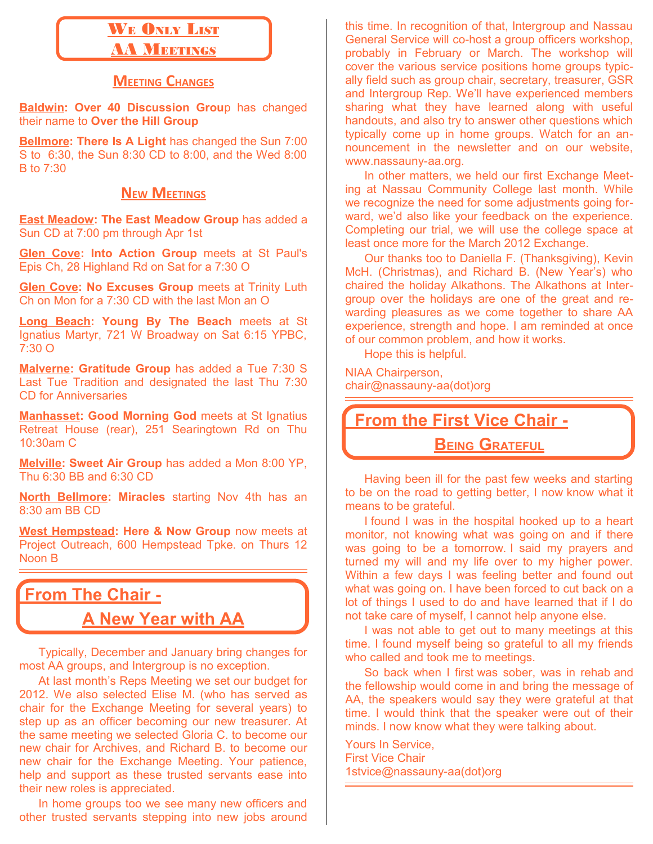## WE ONLY LIST **AA MEETINGS**

#### **MEETING CHANGES**

**Baldwin: Over 40 Discussion Grou**p has changed their name to **Over the Hill Group**

**Bellmore: There Is A Light** has changed the Sun 7:00 S to 6:30, the Sun 8:30 CD to 8:00, and the Wed 8:00 B to 7:30

#### **NEW MEETINGS**

**East Meadow: The East Meadow Group** has added a Sun CD at 7:00 pm through Apr 1st

**Glen Cove: Into Action Group** meets at St Paul's Epis Ch, 28 Highland Rd on Sat for a 7:30 O

**Glen Cove: No Excuses Group** meets at Trinity Luth Ch on Mon for a 7:30 CD with the last Mon an O

**Long Beach: Young By The Beach** meets at St Ignatius Martyr, 721 W Broadway on Sat 6:15 YPBC, 7:30 O

**Malverne: Gratitude Group** has added a Tue 7:30 S Last Tue Tradition and designated the last Thu 7:30 CD for Anniversaries

**Manhasset: Good Morning God** meets at St Ignatius Retreat House (rear), 251 Searingtown Rd on Thu 10:30am C

**Melville: Sweet Air Group** has added a Mon 8:00 YP, Thu 6:30 BB and 6:30 CD

**North Bellmore: Miracles** starting Nov 4th has an 8:30 am BB CD

**West Hempstead: Here & Now Group** now meets at Project Outreach, 600 Hempstead Tpke. on Thurs 12 Noon B

## **From The Chair - A New Year with AA**

Typically, December and January bring changes for most AA groups, and Intergroup is no exception.

At last month's Reps Meeting we set our budget for 2012. We also selected Elise M. (who has served as chair for the Exchange Meeting for several years) to step up as an officer becoming our new treasurer. At the same meeting we selected Gloria C. to become our new chair for Archives, and Richard B. to become our new chair for the Exchange Meeting. Your patience, help and support as these trusted servants ease into their new roles is appreciated.

In home groups too we see many new officers and other trusted servants stepping into new jobs around

this time. In recognition of that, Intergroup and Nassau General Service will co-host a group officers workshop, probably in February or March. The workshop will cover the various service positions home groups typically field such as group chair, secretary, treasurer, GSR and Intergroup Rep. We'll have experienced members sharing what they have learned along with useful handouts, and also try to answer other questions which typically come up in home groups. Watch for an announcement in the newsletter and on our website, www.nassauny-aa.org.

In other matters, we held our first Exchange Meeting at Nassau Community College last month. While we recognize the need for some adjustments going forward, we'd also like your feedback on the experience. Completing our trial, we will use the college space at least once more for the March 2012 Exchange.

Our thanks too to Daniella F. (Thanksgiving), Kevin McH. (Christmas), and Richard B. (New Year's) who chaired the holiday Alkathons. The Alkathons at Intergroup over the holidays are one of the great and rewarding pleasures as we come together to share AA experience, strength and hope. I am reminded at once of our common problem, and how it works.

Hope this is helpful.

NIAA Chairperson, chair@nassauny-aa(dot)org

 **From the First Vice Chair -**

### **BEING GRATEFUL**

Having been ill for the past few weeks and starting to be on the road to getting better, I now know what it means to be grateful.

I found I was in the hospital hooked up to a heart monitor, not knowing what was going on and if there was going to be a tomorrow. I said my prayers and turned my will and my life over to my higher power. Within a few days I was feeling better and found out what was going on. I have been forced to cut back on a lot of things I used to do and have learned that if I do not take care of myself, I cannot help anyone else.

I was not able to get out to many meetings at this time. I found myself being so grateful to all my friends who called and took me to meetings.

So back when I first was sober, was in rehab and the fellowship would come in and bring the message of AA, the speakers would say they were grateful at that time. I would think that the speaker were out of their minds. I now know what they were talking about.

Yours In Service, First Vice Chair 1stvice@nassauny-aa(dot)org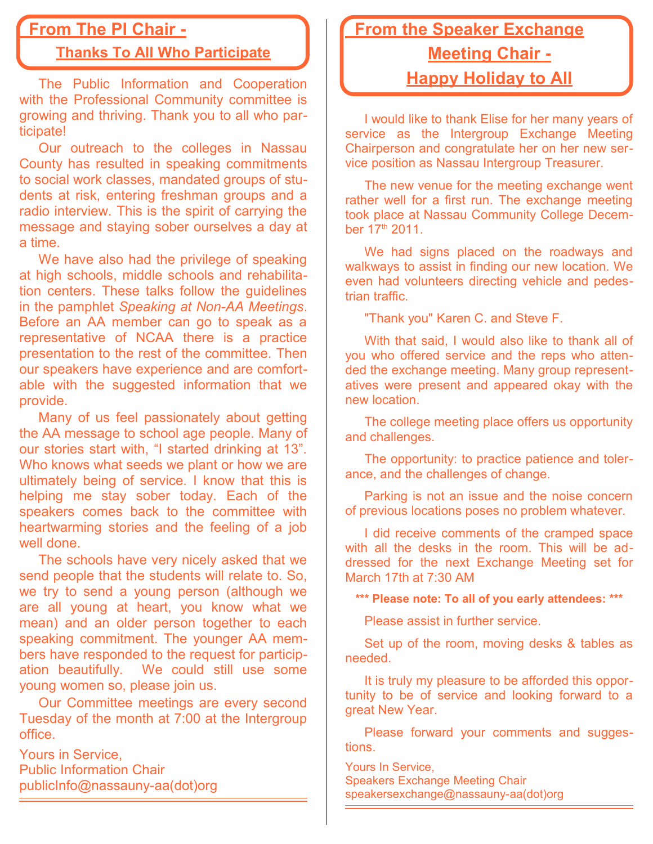# **From The PI Chair -**

### **Thanks To All Who Participate**

The Public Information and Cooperation with the Professional Community committee is growing and thriving. Thank you to all who participate!

Our outreach to the colleges in Nassau County has resulted in speaking commitments to social work classes, mandated groups of students at risk, entering freshman groups and a radio interview. This is the spirit of carrying the message and staying sober ourselves a day at a time.

We have also had the privilege of speaking at high schools, middle schools and rehabilitation centers. These talks follow the guidelines in the pamphlet *Speaking at Non-AA Meetings*. Before an AA member can go to speak as a representative of NCAA there is a practice presentation to the rest of the committee. Then our speakers have experience and are comfortable with the suggested information that we provide.

Many of us feel passionately about getting the AA message to school age people. Many of our stories start with, "I started drinking at 13". Who knows what seeds we plant or how we are ultimately being of service. I know that this is helping me stay sober today. Each of the speakers comes back to the committee with heartwarming stories and the feeling of a job well done.

The schools have very nicely asked that we send people that the students will relate to. So, we try to send a young person (although we are all young at heart, you know what we mean) and an older person together to each speaking commitment. The younger AA members have responded to the request for participation beautifully. We could still use some young women so, please join us.

Our Committee meetings are every second Tuesday of the month at 7:00 at the Intergroup office.

Yours in Service, Public Information Chair publicInfo@nassauny-aa(dot)org

# **From the Speaker Exchange Meeting Chair - Happy Holiday to All**

I would like to thank Elise for her many years of service as the Intergroup Exchange Meeting Chairperson and congratulate her on her new service position as Nassau Intergroup Treasurer.

The new venue for the meeting exchange went rather well for a first run. The exchange meeting took place at Nassau Community College December 17<sup>th</sup> 2011.

We had signs placed on the roadways and walkways to assist in finding our new location. We even had volunteers directing vehicle and pedestrian traffic.

"Thank you" Karen C. and Steve F.

With that said, I would also like to thank all of you who offered service and the reps who attended the exchange meeting. Many group representatives were present and appeared okay with the new location.

The college meeting place offers us opportunity and challenges.

The opportunity: to practice patience and tolerance, and the challenges of change.

Parking is not an issue and the noise concern of previous locations poses no problem whatever.

I did receive comments of the cramped space with all the desks in the room. This will be addressed for the next Exchange Meeting set for March 17th at 7:30 AM

**\*\*\* Please note: To all of you early attendees: \*\*\***

Please assist in further service.

Set up of the room, moving desks & tables as needed.

It is truly my pleasure to be afforded this opportunity to be of service and looking forward to a great New Year.

Please forward your comments and suggestions.

Yours In Service, Speakers Exchange Meeting Chair speakersexchange@nassauny-aa(dot)org